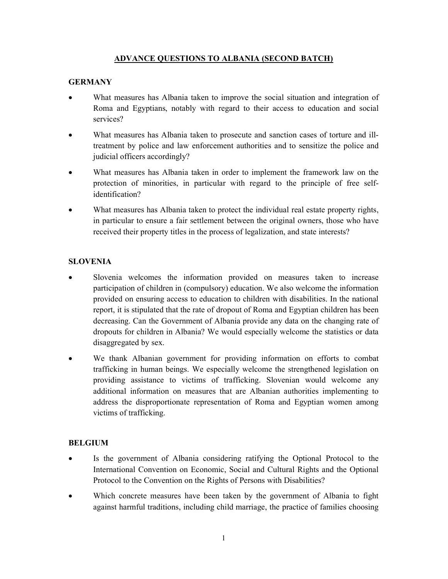## ADVANCE QUESTIONS TO ALBANIA (SECOND BATCH)

## **GERMANY**

- What measures has Albania taken to improve the social situation and integration of Roma and Egyptians, notably with regard to their access to education and social services?
- What measures has Albania taken to prosecute and sanction cases of torture and illtreatment by police and law enforcement authorities and to sensitize the police and judicial officers accordingly?
- What measures has Albania taken in order to implement the framework law on the protection of minorities, in particular with regard to the principle of free selfidentification?
- What measures has Albania taken to protect the individual real estate property rights, in particular to ensure a fair settlement between the original owners, those who have received their property titles in the process of legalization, and state interests?

## **SLOVENIA**

- Slovenia welcomes the information provided on measures taken to increase participation of children in (compulsory) education. We also welcome the information provided on ensuring access to education to children with disabilities. In the national report, it is stipulated that the rate of dropout of Roma and Egyptian children has been decreasing. Can the Government of Albania provide any data on the changing rate of dropouts for children in Albania? We would especially welcome the statistics or data disaggregated by sex.
- We thank Albanian government for providing information on efforts to combat trafficking in human beings. We especially welcome the strengthened legislation on providing assistance to victims of trafficking. Slovenian would welcome any additional information on measures that are Albanian authorities implementing to address the disproportionate representation of Roma and Egyptian women among victims of trafficking.

## BELGIUM

- Is the government of Albania considering ratifying the Optional Protocol to the International Convention on Economic, Social and Cultural Rights and the Optional Protocol to the Convention on the Rights of Persons with Disabilities?
- Which concrete measures have been taken by the government of Albania to fight against harmful traditions, including child marriage, the practice of families choosing